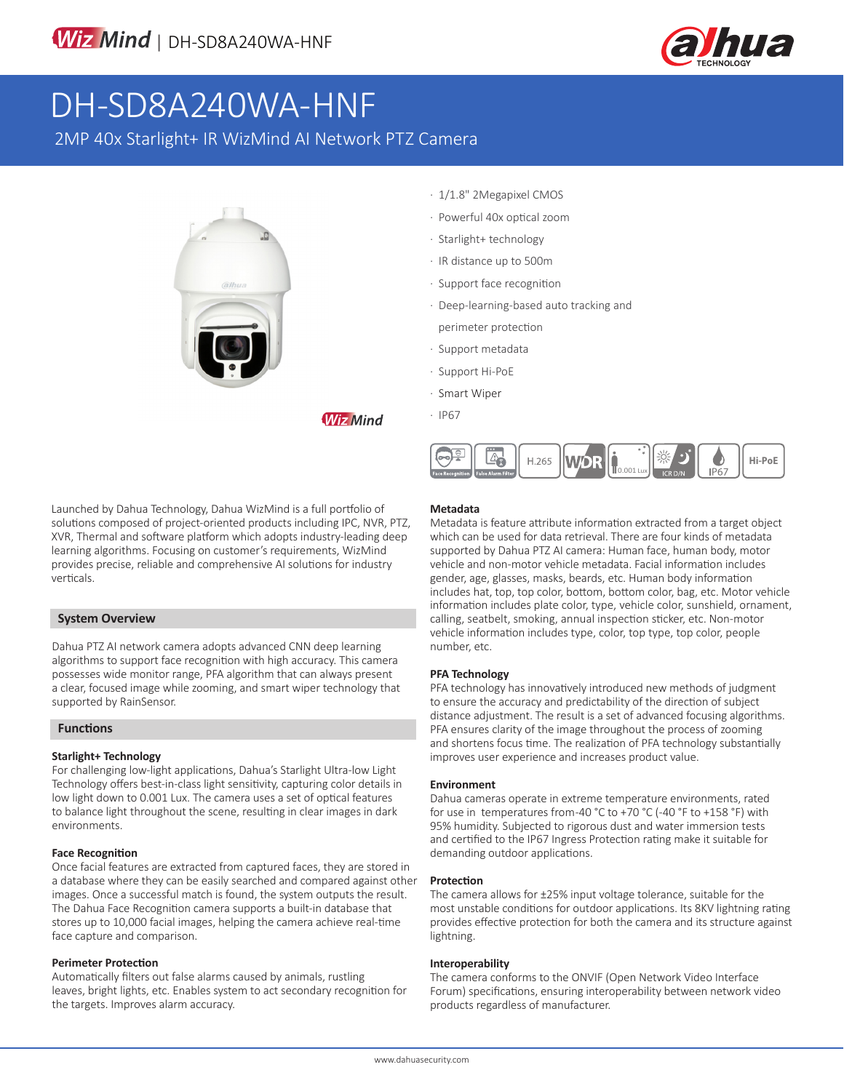

# DH-SD8A240WA-HNF

2MP 40x Starlight+ IR WizMind AI Network PTZ Camera



· 1/1.8" 2Megapixel CMOS

- · Powerful 40x optical zoom
- · Starlight+ technology
- · IR distance up to 500m
- · Support face recognition
- · Deep-learning-based auto tracking and
- perimeter protection
- · Support metadata
- · Support Hi-PoE
- · Smart Wiper
- · IP67

**Wiz Mind** 



Launched by Dahua Technology, Dahua WizMind is a full portfolio of solutions composed of project-oriented products including IPC, NVR, PTZ, XVR, Thermal and software platform which adopts industry-leading deep learning algorithms. Focusing on customer's requirements, WizMind provides precise, reliable and comprehensive AI solutions for industry verticals.

#### **System Overview**

Dahua PTZ AI network camera adopts advanced CNN deep learning algorithms to support face recognition with high accuracy. This camera possesses wide monitor range, PFA algorithm that can always present a clear, focused image while zooming, and smart wiper technology that supported by RainSensor.

#### **Functions**

#### **Starlight+ Technology**

For challenging low-light applications, Dahua's Starlight Ultra-low Light Technology offers best-in-class light sensitivity, capturing color details in low light down to 0.001 Lux. The camera uses a set of optical features to balance light throughout the scene, resulting in clear images in dark environments.

#### **Face Recognition**

Once facial features are extracted from captured faces, they are stored in a database where they can be easily searched and compared against other images. Once a successful match is found, the system outputs the result. The Dahua Face Recognition camera supports a built-in database that stores up to 10,000 facial images, helping the camera achieve real-time face capture and comparison.

#### **Perimeter Protection**

Automatically filters out false alarms caused by animals, rustling leaves, bright lights, etc. Enables system to act secondary recognition for the targets. Improves alarm accuracy.

#### **Metadata**

Metadata is feature attribute information extracted from a target object which can be used for data retrieval. There are four kinds of metadata supported by Dahua PTZ AI camera: Human face, human body, motor vehicle and non-motor vehicle metadata. Facial information includes gender, age, glasses, masks, beards, etc. Human body information includes hat, top, top color, bottom, bottom color, bag, etc. Motor vehicle information includes plate color, type, vehicle color, sunshield, ornament, calling, seatbelt, smoking, annual inspection sticker, etc. Non-motor vehicle information includes type, color, top type, top color, people number, etc.

#### **PFA Technology**

PFA technology has innovatively introduced new methods of judgment to ensure the accuracy and predictability of the direction of subject distance adjustment. The result is a set of advanced focusing algorithms. PFA ensures clarity of the image throughout the process of zooming and shortens focus time. The realization of PFA technology substantially improves user experience and increases product value.

#### **Environment**

Dahua cameras operate in extreme temperature environments, rated for use in temperatures from -40 °C to +70 °C (-40 °F to +158 °F) with 95% humidity. Subjected to rigorous dust and water immersion tests and certified to the IP67 Ingress Protection rating make it suitable for demanding outdoor applications.

#### **Protection**

The camera allows for ±25% input voltage tolerance, suitable for the most unstable conditions for outdoor applications. Its 8KV lightning rating provides effective protection for both the camera and its structure against lightning.

#### **Interoperability**

The camera conforms to the ONVIF (Open Network Video Interface Forum) specifications, ensuring interoperability between network video products regardless of manufacturer.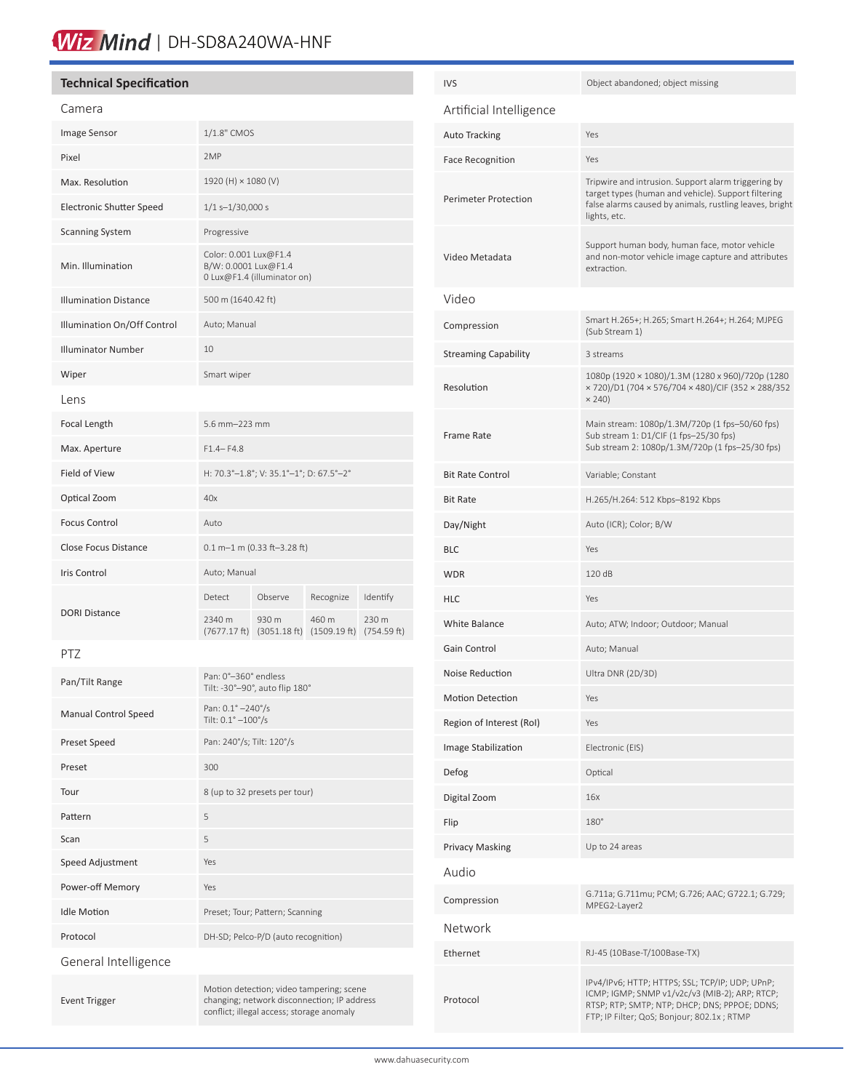## Wiz Mind | DH-SD8A240WA-HNF

### **Technical Specification**

#### Camera

| ------                          |                                                                              |                       |                       |                      |
|---------------------------------|------------------------------------------------------------------------------|-----------------------|-----------------------|----------------------|
| <b>Image Sensor</b>             | 1/1.8" CMOS                                                                  |                       |                       |                      |
| Pixel                           | 2MP                                                                          |                       |                       |                      |
| Max. Resolution                 | 1920 (H) × 1080 (V)                                                          |                       |                       |                      |
| <b>Electronic Shutter Speed</b> | $1/1 s - 1/30,000 s$                                                         |                       |                       |                      |
| <b>Scanning System</b>          | Progressive                                                                  |                       |                       |                      |
| Min. Illumination               | Color: 0.001 Lux@F1.4<br>B/W: 0.0001 Lux@F1.4<br>0 Lux@F1.4 (illuminator on) |                       |                       |                      |
| <b>Illumination Distance</b>    | 500 m (1640.42 ft)                                                           |                       |                       |                      |
| Illumination On/Off Control     | Auto; Manual                                                                 |                       |                       |                      |
| <b>Illuminator Number</b>       | 10                                                                           |                       |                       |                      |
| Wiper                           | Smart wiper                                                                  |                       |                       |                      |
| Lens                            |                                                                              |                       |                       |                      |
| Focal Length                    | 5.6 mm-223 mm                                                                |                       |                       |                      |
| Max. Aperture                   | $F1.4 - F4.8$                                                                |                       |                       |                      |
| Field of View                   | H: 70.3°-1.8°; V: 35.1°-1°; D: 67.5°-2°                                      |                       |                       |                      |
| Optical Zoom                    | 40x                                                                          |                       |                       |                      |
| <b>Focus Control</b>            | Auto                                                                         |                       |                       |                      |
| <b>Close Focus Distance</b>     | $0.1$ m-1 m (0.33 ft-3.28 ft)                                                |                       |                       |                      |
| <b>Iris Control</b>             | Auto; Manual                                                                 |                       |                       |                      |
| <b>DORI Distance</b>            | Detect                                                                       | Observe               | Recognize             | Identify             |
|                                 | 2340 m<br>$(7677.17 \text{ ft})$                                             | 930 m<br>(3051.18 ft) | 460 m<br>(1509.19 ft) | 230 m<br>(754.59 ft) |
| PTZ                             |                                                                              |                       |                       |                      |

| Pan/Tilt Range              | Pan: 0°-360° endless<br>Tilt: -30°-90°, auto flip 180°                                                                               |
|-----------------------------|--------------------------------------------------------------------------------------------------------------------------------------|
| <b>Manual Control Speed</b> | Pan: 0.1° -240°/s<br>Tilt: $0.1^{\circ} - 100^{\circ}/s$                                                                             |
| Preset Speed                | Pan: 240°/s; Tilt: 120°/s                                                                                                            |
| Preset                      | 300                                                                                                                                  |
| Tour                        | 8 (up to 32 presets per tour)                                                                                                        |
| Pattern                     | 5                                                                                                                                    |
| Scan                        | 5                                                                                                                                    |
| <b>Speed Adjustment</b>     | Yes                                                                                                                                  |
| Power-off Memory            | Yes                                                                                                                                  |
| <b>Idle Motion</b>          | Preset; Tour; Pattern; Scanning                                                                                                      |
| Protocol                    | DH-SD; Pelco-P/D (auto recognition)                                                                                                  |
| General Intelligence        |                                                                                                                                      |
| <b>Event Trigger</b>        | Motion detection; video tampering; scene<br>changing; network disconnection; IP address<br>conflict; illegal access; storage anomaly |

| <b>IVS</b>                  | Object abandoned; object missing                                                                                                                                                                 |
|-----------------------------|--------------------------------------------------------------------------------------------------------------------------------------------------------------------------------------------------|
| Artificial Intelligence     |                                                                                                                                                                                                  |
| Auto Tracking               | Yes                                                                                                                                                                                              |
| <b>Face Recognition</b>     | Yes                                                                                                                                                                                              |
| <b>Perimeter Protection</b> | Tripwire and intrusion. Support alarm triggering by<br>target types (human and vehicle). Support filtering<br>false alarms caused by animals, rustling leaves, bright<br>lights, etc.            |
| Video Metadata              | Support human body, human face, motor vehicle<br>and non-motor vehicle image capture and attributes<br>extraction.                                                                               |
| Video                       |                                                                                                                                                                                                  |
| Compression                 | Smart H.265+; H.265; Smart H.264+; H.264; MJPEG<br>(Sub Stream 1)                                                                                                                                |
| <b>Streaming Capability</b> | 3 streams                                                                                                                                                                                        |
| Resolution                  | 1080p (1920 × 1080)/1.3M (1280 x 960)/720p (1280<br>× 720)/D1 (704 × 576/704 × 480)/CIF (352 × 288/352<br>$\times$ 240)                                                                          |
| Frame Rate                  | Main stream: 1080p/1.3M/720p (1 fps-50/60 fps)<br>Sub stream 1: D1/CIF (1 fps-25/30 fps)<br>Sub stream 2: 1080p/1.3M/720p (1 fps-25/30 fps)                                                      |
| <b>Bit Rate Control</b>     | Variable; Constant                                                                                                                                                                               |
| <b>Bit Rate</b>             | H.265/H.264: 512 Kbps-8192 Kbps                                                                                                                                                                  |
| Day/Night                   | Auto (ICR); Color; B/W                                                                                                                                                                           |
| <b>BLC</b>                  | Yes                                                                                                                                                                                              |
| <b>WDR</b>                  | 120 dB                                                                                                                                                                                           |
| <b>HLC</b>                  | Yes                                                                                                                                                                                              |
| <b>White Balance</b>        | Auto; ATW; Indoor; Outdoor; Manual                                                                                                                                                               |
| Gain Control                | Auto; Manual                                                                                                                                                                                     |
| Noise Reduction             | Ultra DNR (2D/3D)                                                                                                                                                                                |
| <b>Motion Detection</b>     | Yes                                                                                                                                                                                              |
| Region of Interest (RoI)    | Yes                                                                                                                                                                                              |
| Image Stabilization         | Electronic (EIS)                                                                                                                                                                                 |
| Defog                       | Optical                                                                                                                                                                                          |
| Digital Zoom                | 16x                                                                                                                                                                                              |
| Flip                        | 180°                                                                                                                                                                                             |
| <b>Privacy Masking</b>      | Up to 24 areas                                                                                                                                                                                   |
| Audio                       |                                                                                                                                                                                                  |
| Compression                 | G.711a; G.711mu; PCM; G.726; AAC; G722.1; G.729;<br>MPEG2-Layer2                                                                                                                                 |
| Network                     |                                                                                                                                                                                                  |
| Ethernet                    | RJ-45 (10Base-T/100Base-TX)                                                                                                                                                                      |
| Protocol                    | IPv4/IPv6; HTTP; HTTPS; SSL; TCP/IP; UDP; UPnP;<br>ICMP; IGMP; SNMP v1/v2c/v3 (MIB-2); ARP; RTCP;<br>RTSP; RTP; SMTP; NTP; DHCP; DNS; PPPOE; DDNS;<br>FTP; IP Filter; QoS; Bonjour; 802.1x; RTMP |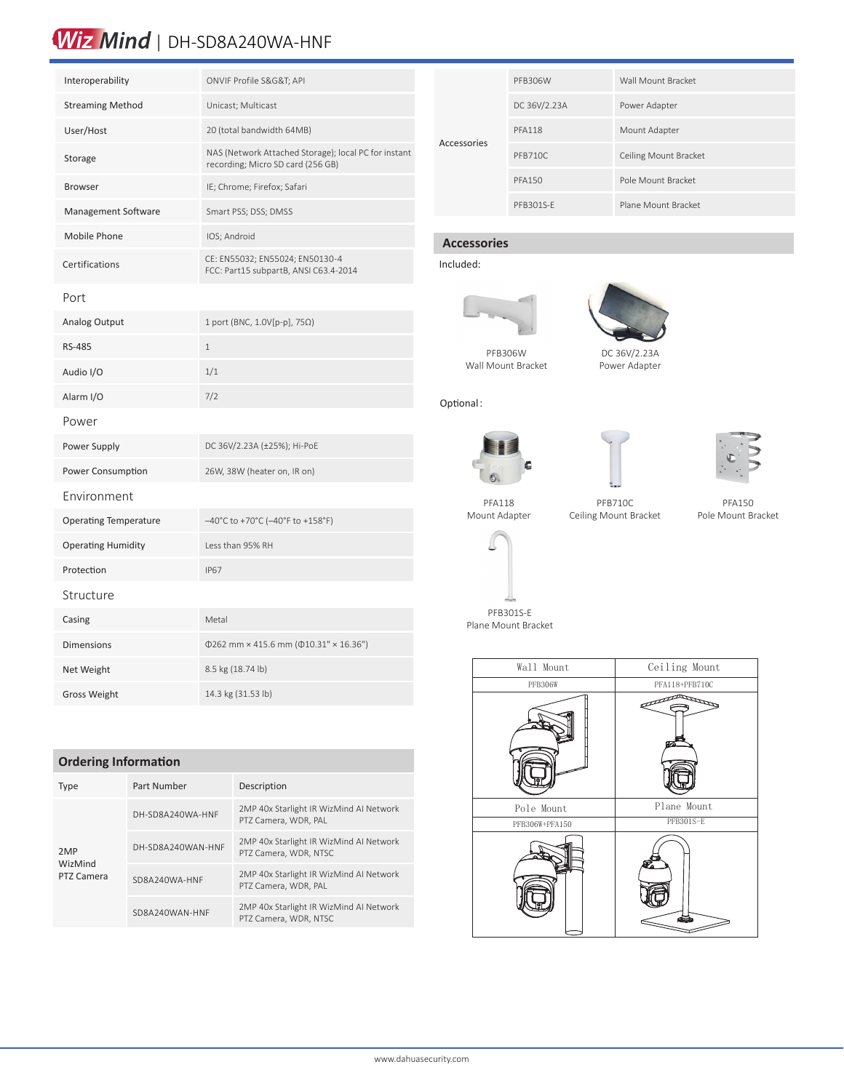## Wiz Mind | DH-SD8A240WA-HNF

| Interoperability             | ONVIF Profile S&G&T API                                                                   |
|------------------------------|-------------------------------------------------------------------------------------------|
| <b>Streaming Method</b>      | Unicast; Multicast                                                                        |
| User/Host                    | 20 (total bandwidth 64MB)                                                                 |
| Storage                      | NAS (Network Attached Storage); local PC for instant<br>recording; Micro SD card (256 GB) |
| <b>Browser</b>               | IE; Chrome; Firefox; Safari                                                               |
| Management Software          | Smart PSS; DSS; DMSS                                                                      |
| Mobile Phone                 | IOS; Android                                                                              |
| Certifications               | CE: EN55032; EN55024; EN50130-4<br>FCC: Part15 subpartB, ANSI C63.4-2014                  |
| Port                         |                                                                                           |
| <b>Analog Output</b>         | 1 port (BNC, 1.0V[p-p], 75Ω)                                                              |
| <b>RS-485</b>                | $\mathbf{1}$                                                                              |
| Audio I/O                    | 1/1                                                                                       |
| Alarm I/O                    | 7/2                                                                                       |
| Power                        |                                                                                           |
| Power Supply                 | DC 36V/2.23A (±25%); Hi-PoE                                                               |
| Power Consumption            | 26W, 38W (heater on, IR on)                                                               |
| Environment                  |                                                                                           |
| <b>Operating Temperature</b> | $-40^{\circ}$ C to +70 $^{\circ}$ C (-40 $^{\circ}$ F to +158 $^{\circ}$ F)               |
| <b>Operating Humidity</b>    | Less than 95% RH                                                                          |
| Protection                   | <b>IP67</b>                                                                               |
| Structure                    |                                                                                           |
| Casing                       | Metal                                                                                     |
| <b>Dimensions</b>            | $\Phi$ 262 mm × 415.6 mm ( $\Phi$ 10.31" × 16.36")                                        |
| Net Weight                   | 8.5 kg (18.74 lb)                                                                         |
| <b>Gross Weight</b>          | 14.3 kg (31.53 lb)                                                                        |

### **Ordering Information**

| <b>Type</b>                  | Part Number       | Description                                                      |  |
|------------------------------|-------------------|------------------------------------------------------------------|--|
| 2MP<br>WizMind<br>PTZ Camera | DH-SD8A240WA-HNF  | 2MP 40x Starlight IR WizMind AI Network<br>PTZ Camera, WDR, PAL  |  |
|                              | DH-SD8A240WAN-HNF | 2MP 40x Starlight IR WizMind AI Network<br>PTZ Camera, WDR, NTSC |  |
|                              | SD8A240WA-HNF     | 2MP 40x Starlight IR WizMind AI Network<br>PTZ Camera, WDR, PAL  |  |
|                              | SD8A240WAN-HNF    | 2MP 40x Starlight IR WizMind AI Network<br>PTZ Camera, WDR, NTSC |  |

| Accessories | PFB306W        | Wall Mount Bracket    |
|-------------|----------------|-----------------------|
|             | DC 36V/2.23A   | Power Adapter         |
|             | <b>PFA118</b>  | Mount Adapter         |
|             | <b>PFB710C</b> | Ceiling Mount Bracket |
|             | <b>PFA150</b>  | Pole Mount Bracket    |
|             | PFB301S-F      | Plane Mount Bracket   |

## **Accessories**



Optional:





Wall Mount Bracket

DC 36V/2.23A Power Adapter



PFA150 Pole Mount Bracket

PFA118 Mount Adapter

PFB710C Ceiling Mount Bracket



PFB301S-E PFB301S-E Plane Mount Bracket

| Wall Mount     | Ceiling Mount    |
|----------------|------------------|
| PFB306W        | PFA118+PFB710C   |
|                | <b>SOLUTION</b>  |
| Pole Mount     | Plane Mount      |
| PFB306W+PFA150 | <b>PFB301S-E</b> |
|                |                  |